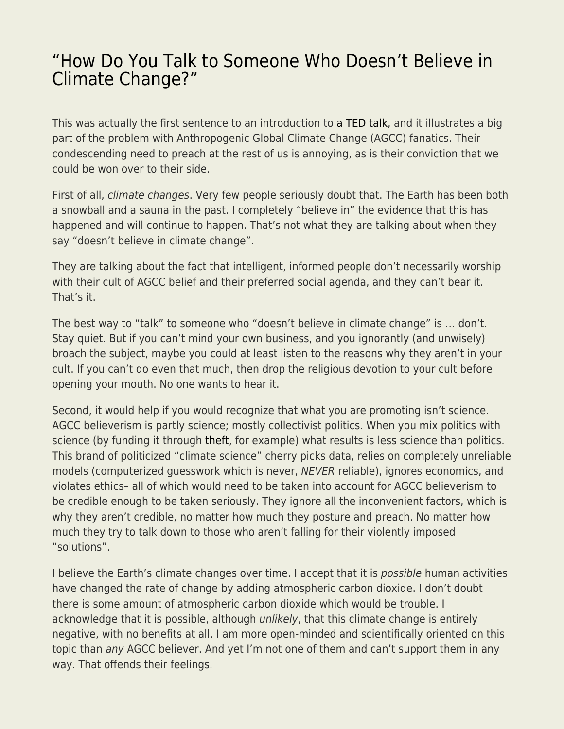## ["How Do You Talk to Someone Who Doesn't Believe in](https://everything-voluntary.com/how-do-you-talk-to-someone-who-doesnt-believe-in-climate-change) [Climate Change?"](https://everything-voluntary.com/how-do-you-talk-to-someone-who-doesnt-believe-in-climate-change)

This was actually the first sentence to an introduction to [a TED talk,](https://www.ted.com/talks/katharine_hayhoe_the_most_important_thing_you_can_do_to_fight_climate_change_talk_about_it) and it illustrates a big part of the problem with Anthropogenic Global Climate Change (AGCC) fanatics. Their condescending need to preach at the rest of us is annoying, as is their conviction that we could be won over to their side.

First of all, climate changes. Very few people seriously doubt that. The Earth has been both a snowball and a sauna in the past. I completely "believe in" the evidence that this has happened and will continue to happen. That's not what they are talking about when they say "doesn't believe in climate change".

They are talking about the fact that intelligent, informed people don't necessarily worship with their cult of AGCC belief and their preferred social agenda, and they can't bear it. That's it.

The best way to "talk" to someone who "doesn't believe in climate change" is … don't. Stay quiet. But if you can't mind your own business, and you ignorantly (and unwisely) broach the subject, maybe you could at least listen to the reasons why they aren't in your cult. If you can't do even that much, then drop the religious devotion to your cult before opening your mouth. No one wants to hear it.

Second, it would help if you would recognize that what you are promoting isn't science. AGCC believerism is partly science; mostly collectivist politics. When you mix politics with science (by funding it through [theft,](https://www.kentforliberty.com/taxation.html) for example) what results is less science than politics. This brand of politicized "climate science" cherry picks data, relies on completely unreliable models (computerized guesswork which is never, NEVER reliable), ignores economics, and violates ethics– all of which would need to be taken into account for AGCC believerism to be credible enough to be taken seriously. They ignore all the inconvenient factors, which is why they aren't credible, no matter how much they posture and preach. No matter how much they try to talk down to those who aren't falling for their violently imposed "solutions".

I believe the Earth's climate changes over time. I accept that it is possible human activities have changed the rate of change by adding atmospheric carbon dioxide. I don't doubt there is some amount of atmospheric carbon dioxide which would be trouble. I acknowledge that it is possible, although *unlikely*, that this climate change is entirely negative, with no benefits at all. I am more open-minded and scientifically oriented on this topic than any AGCC believer. And yet I'm not one of them and can't support them in any way. That offends their feelings.